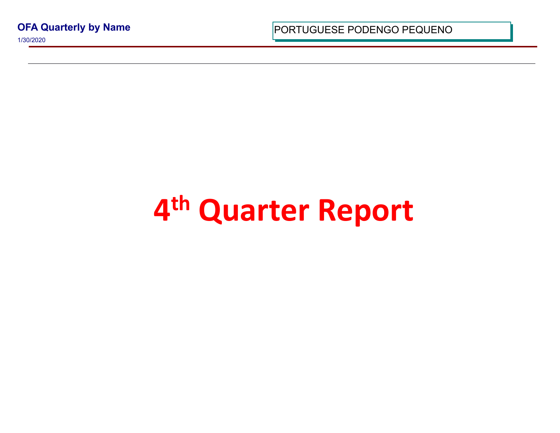**OFA Quarterly by Name**

1/30/2020

PORTUGUESE PODENGO PEQUI

## **4 th Quarter Report**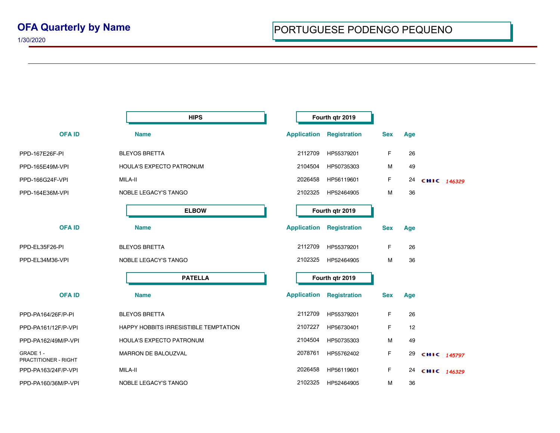|                                   | <b>HIPS</b>                           | Fourth qtr 2019    |                     |            |     |             |  |
|-----------------------------------|---------------------------------------|--------------------|---------------------|------------|-----|-------------|--|
| <b>OFA ID</b>                     | <b>Name</b>                           | <b>Application</b> | <b>Registration</b> | <b>Sex</b> | Age |             |  |
| PPD-167E26F-PI                    | <b>BLEYOS BRETTA</b>                  | 2112709            | HP55379201          | F          | 26  |             |  |
| PPD-165E49M-VPI                   | HOULA'S EXPECTO PATRONUM              | 2104504            | HP50735303          | М          | 49  |             |  |
| PPD-166G24F-VPI                   | MILA-II                               | 2026458            | HP56119601          | F.         | 24  | CHIC 146329 |  |
| PPD-164E36M-VPI                   | NOBLE LEGACY'S TANGO                  | 2102325            | HP52464905          | M          | 36  |             |  |
|                                   | <b>ELBOW</b>                          |                    | Fourth qtr 2019     |            |     |             |  |
| <b>OFAID</b>                      | <b>Name</b>                           | <b>Application</b> | <b>Registration</b> | <b>Sex</b> | Age |             |  |
| PPD-EL35F26-PI                    | <b>BLEYOS BRETTA</b>                  | 2112709            | HP55379201          | F          | 26  |             |  |
| PPD-EL34M36-VPI                   | NOBLE LEGACY'S TANGO                  | 2102325            | HP52464905          | M          | 36  |             |  |
|                                   | <b>PATELLA</b>                        |                    | Fourth qtr 2019     |            |     |             |  |
| <b>OFA ID</b>                     | <b>Name</b>                           | <b>Application</b> | Registration        | <b>Sex</b> | Age |             |  |
| PPD-PA164/26F/P-PI                | <b>BLEYOS BRETTA</b>                  | 2112709            | HP55379201          | F          | 26  |             |  |
| PPD-PA161/12F/P-VPI               | HAPPY HOBBITS IRRESISTIBLE TEMPTATION | 2107227            | HP56730401          | F.         | 12  |             |  |
| PPD-PA162/49M/P-VPI               | HOULA'S EXPECTO PATRONUM              | 2104504            | HP50735303          | М          | 49  |             |  |
| GRADE 1 -<br>PRACTITIONER - RIGHT | MARRON DE BALOUZVAL                   | 2078761            | HP55762402          | F.         | 29  | CHIC 145797 |  |
| PPD-PA163/24F/P-VPI               | MILA-II                               | 2026458            | HP56119601          | F.         | 24  | CHIC 146329 |  |
| PPD-PA160/36M/P-VPI               | NOBLE LEGACY'S TANGO                  | 2102325            | HP52464905          | М          | 36  |             |  |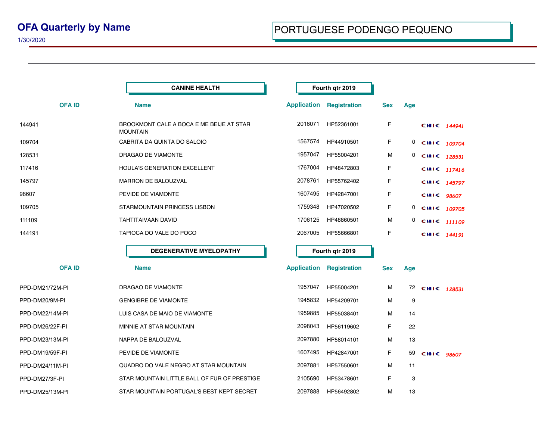1/30/2020

|                 | <b>CANINE HEALTH</b>                                        | Fourth qtr 2019    |                                 |            |     |                |             |
|-----------------|-------------------------------------------------------------|--------------------|---------------------------------|------------|-----|----------------|-------------|
| <b>OFAID</b>    | <b>Name</b>                                                 |                    | <b>Application Registration</b> | <b>Sex</b> | Age |                |             |
| 144941          | BROOKMONT CALE A BOCA E ME BEIJE AT STAR<br><b>MOUNTAIN</b> | 2016071            | HP52361001                      | F          |     | CHIC 144941    |             |
| 109704          | CABRITA DA QUINTA DO SALOIO                                 | 1567574            | HP44910501                      | F          | 0   | CHIC 109704    |             |
| 128531          | DRAGAO DE VIAMONTE                                          | 1957047            | HP55004201                      | M          |     | 0 сніс 128531  |             |
| 117416          | HOULA'S GENERATION EXCELLENT                                | 1767004            | HP48472803                      | F          |     | CHIC 117416    |             |
| 145797          | <b>MARRON DE BALOUZVAL</b>                                  | 2078761            | HP55762402                      | F          |     |                | CHIC 145797 |
| 98607           | PEVIDE DE VIAMONTE                                          | 1607495            | HP42847001                      | F          |     | CHIC 98607     |             |
| 109705          | STARMOUNTAIN PRINCESS LISBON                                | 1759348            | HP47020502                      | F          | 0   | CHIC 109705    |             |
| 111109          | <b>TAHTITAIVAAN DAVID</b>                                   | 1706125            | HP48860501                      | M          |     | 0 CHIC 111109  |             |
| 144191          | TAPIOCA DO VALE DO POCO                                     | 2067005            | HP55666801                      | F          |     | CHIC 144191    |             |
|                 | <b>DEGENERATIVE MYELOPATHY</b>                              | Fourth qtr 2019    |                                 |            |     |                |             |
| <b>OFAID</b>    | <b>Name</b>                                                 | <b>Application</b> | Registration                    | <b>Sex</b> | Age |                |             |
| PPD-DM21/72M-PI | DRAGAO DE VIAMONTE                                          | 1957047            | HP55004201                      | м          |     | 72 CHIC 128531 |             |
| PPD-DM20/9M-PI  | <b>GENGIBRE DE VIAMONTE</b>                                 | 1945832            | HP54209701                      | м          | 9   |                |             |
| PPD-DM22/14M-PI | LUIS CASA DE MAIO DE VIAMONTE                               | 1959885            | HP55038401                      | м          | 14  |                |             |
| PPD-DM26/22F-PI | MINNIE AT STAR MOUNTAIN                                     | 2098043            | HP56119602                      | F          | 22  |                |             |
| PPD-DM23/13M-PI | NAPPA DE BALOUZVAL                                          | 2097880            | HP58014101                      | м          | 13  |                |             |
| PPD-DM19/59F-PI | PEVIDE DE VIAMONTE                                          | 1607495            | HP42847001                      | F          | 59  | CHIC 98607     |             |
| PPD-DM24/11M-PI | QUADRO DO VALE NEGRO AT STAR MOUNTAIN                       | 2097881            | HP57550601                      | м          | 11  |                |             |
| PPD-DM27/3F-PI  | STAR MOUNTAIN LITTLE BALL OF FUR OF PRESTIGE                | 2105690            | HP53478601                      | F          | 3   |                |             |
| PPD-DM25/13M-PI | STAR MOUNTAIN PORTUGAL'S BEST KEPT SECRET                   | 2097888            | HP56492802                      | M          | 13  |                |             |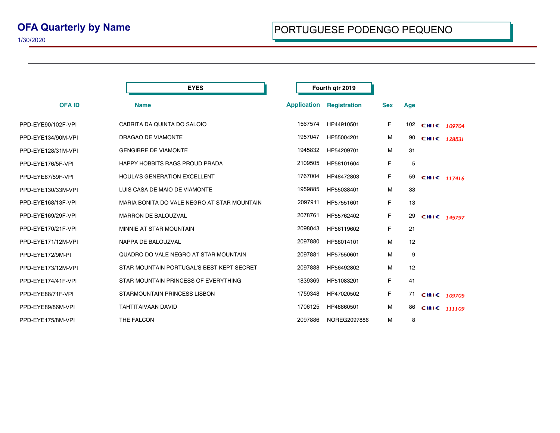## **OFA Quarterly by Name**

1/30/2020

|                    | <b>EYES</b>                                 | Fourth qtr 2019    |                     |            |     |                 |  |
|--------------------|---------------------------------------------|--------------------|---------------------|------------|-----|-----------------|--|
| <b>OFA ID</b>      | <b>Name</b>                                 | <b>Application</b> | <b>Registration</b> | <b>Sex</b> | Age |                 |  |
| PPD-EYE90/102F-VPI | CABRITA DA QUINTA DO SALOIO                 | 1567574            | HP44910501          | F.         |     | 102 CHIC 109704 |  |
| PPD-EYE134/90M-VPI | DRAGAO DE VIAMONTE                          | 1957047            | HP55004201          | м          | 90  | CHIC 128531     |  |
| PPD-EYE128/31M-VPI | <b>GENGIBRE DE VIAMONTE</b>                 | 1945832            | HP54209701          | М          | 31  |                 |  |
| PPD-EYE176/5F-VPI  | HAPPY HOBBITS RAGS PROUD PRADA              | 2109505            | HP58101604          | F          | 5   |                 |  |
| PPD-EYE87/59F-VPI  | <b>HOULA'S GENERATION EXCELLENT</b>         | 1767004            | HP48472803          | F.         | 59  | CHIC 117416     |  |
| PPD-EYE130/33M-VPI | LUIS CASA DE MAIO DE VIAMONTE               | 1959885            | HP55038401          | м          | 33  |                 |  |
| PPD-EYE168/13F-VPI | MARIA BONITA DO VALE NEGRO AT STAR MOUNTAIN | 2097911            | HP57551601          | F          | 13  |                 |  |
| PPD-EYE169/29F-VPI | <b>MARRON DE BALOUZVAL</b>                  | 2078761            | HP55762402          | F          | 29  | CHIC 145797     |  |
| PPD-EYE170/21F-VPI | MINNIE AT STAR MOUNTAIN                     | 2098043            | HP56119602          | F          | 21  |                 |  |
| PPD-EYE171/12M-VPI | NAPPA DE BALOUZVAL                          | 2097880            | HP58014101          | м          | 12  |                 |  |
| PPD-EYE172/9M-PI   | QUADRO DO VALE NEGRO AT STAR MOUNTAIN       | 2097881            | HP57550601          | М          | 9   |                 |  |
| PPD-EYE173/12M-VPI | STAR MOUNTAIN PORTUGAL'S BEST KEPT SECRET   | 2097888            | HP56492802          | М          | 12  |                 |  |
| PPD-EYE174/41F-VPI | STAR MOUNTAIN PRINCESS OF EVERYTHING        | 1839369            | HP51083201          | F          | 41  |                 |  |
| PPD-EYE88/71F-VPI  | STARMOUNTAIN PRINCESS LISBON                | 1759348            | HP47020502          | F          | 71  | CHIC 109705     |  |
| PPD-EYE89/86M-VPI  | <b>TAHTITAIVAAN DAVID</b>                   | 1706125            | HP48860501          | м          | 86  | CHIC 111109     |  |
| PPD-EYE175/8M-VPI  | THE FALCON                                  | 2097886            | NOREG2097886        | м          | 8   |                 |  |